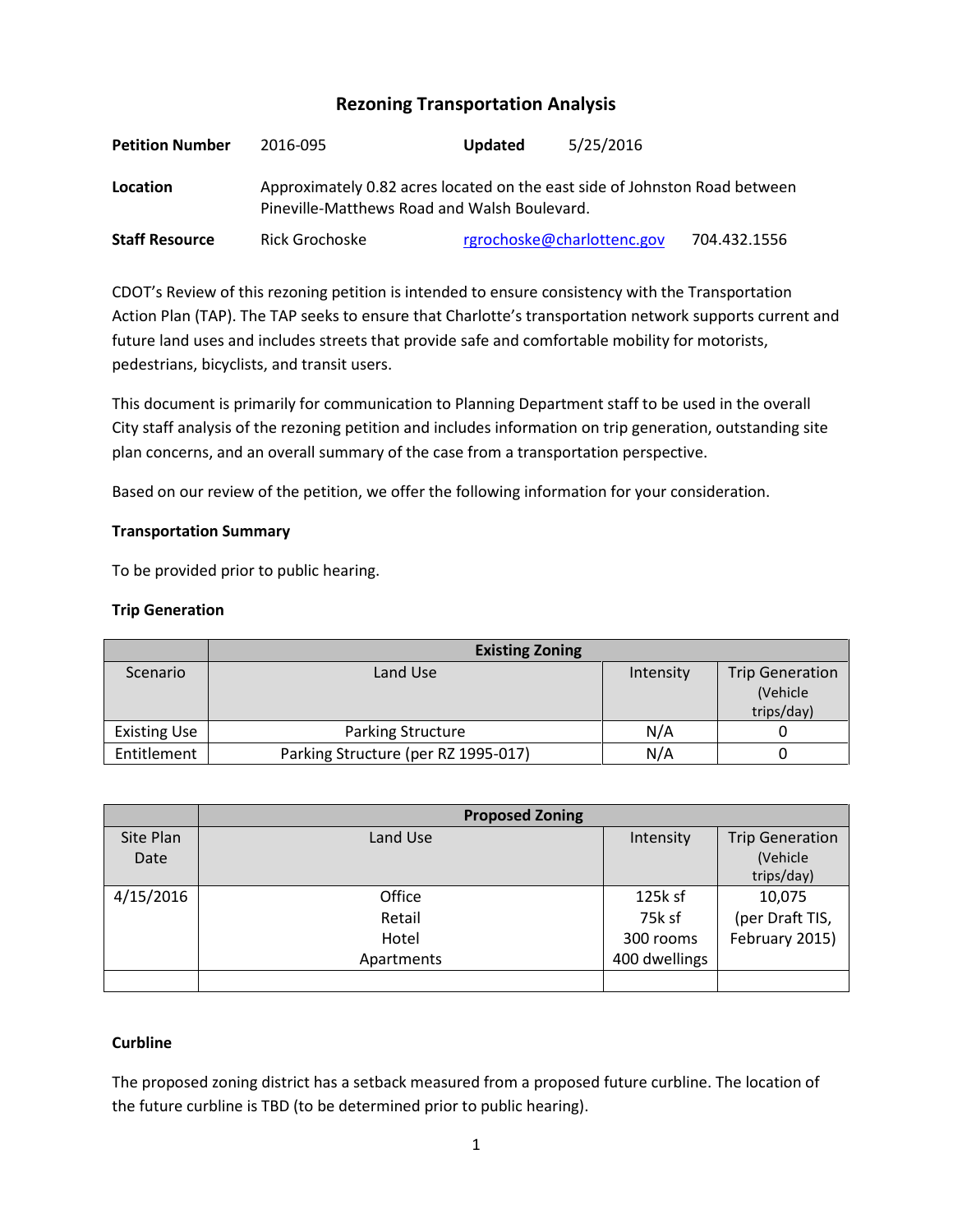# **Rezoning Transportation Analysis**

| <b>Petition Number</b> | 2016-095                                                                                                                   | <b>Updated</b> | 5/25/2016                  |              |  |
|------------------------|----------------------------------------------------------------------------------------------------------------------------|----------------|----------------------------|--------------|--|
| Location               | Approximately 0.82 acres located on the east side of Johnston Road between<br>Pineville-Matthews Road and Walsh Boulevard. |                |                            |              |  |
| <b>Staff Resource</b>  | Rick Grochoske                                                                                                             |                | rgrochoske@charlottenc.gov | 704.432.1556 |  |

CDOT's Review of this rezoning petition is intended to ensure consistency with the Transportation Action Plan (TAP). The TAP seeks to ensure that Charlotte's transportation network supports current and future land uses and includes streets that provide safe and comfortable mobility for motorists, pedestrians, bicyclists, and transit users.

This document is primarily for communication to Planning Department staff to be used in the overall City staff analysis of the rezoning petition and includes information on trip generation, outstanding site plan concerns, and an overall summary of the case from a transportation perspective.

Based on our review of the petition, we offer the following information for your consideration.

### **Transportation Summary**

To be provided prior to public hearing.

### **Trip Generation**

|                     | <b>Existing Zoning</b>              |           |                                                  |  |
|---------------------|-------------------------------------|-----------|--------------------------------------------------|--|
| Scenario            | Land Use                            | Intensity | <b>Trip Generation</b><br>(Vehicle<br>trips/day) |  |
| <b>Existing Use</b> | <b>Parking Structure</b>            | N/A       |                                                  |  |
| Entitlement         | Parking Structure (per RZ 1995-017) | N/A       |                                                  |  |

|           | <b>Proposed Zoning</b> |               |                        |  |
|-----------|------------------------|---------------|------------------------|--|
| Site Plan | Land Use               | Intensity     | <b>Trip Generation</b> |  |
| Date      |                        |               | (Vehicle               |  |
|           |                        |               | trips/day)             |  |
| 4/15/2016 | Office                 | 125k sf       | 10,075                 |  |
|           | Retail                 | 75k sf        | (per Draft TIS,        |  |
|           | Hotel                  | 300 rooms     | February 2015)         |  |
|           | Apartments             | 400 dwellings |                        |  |
|           |                        |               |                        |  |

### **Curbline**

The proposed zoning district has a setback measured from a proposed future curbline. The location of the future curbline is TBD (to be determined prior to public hearing).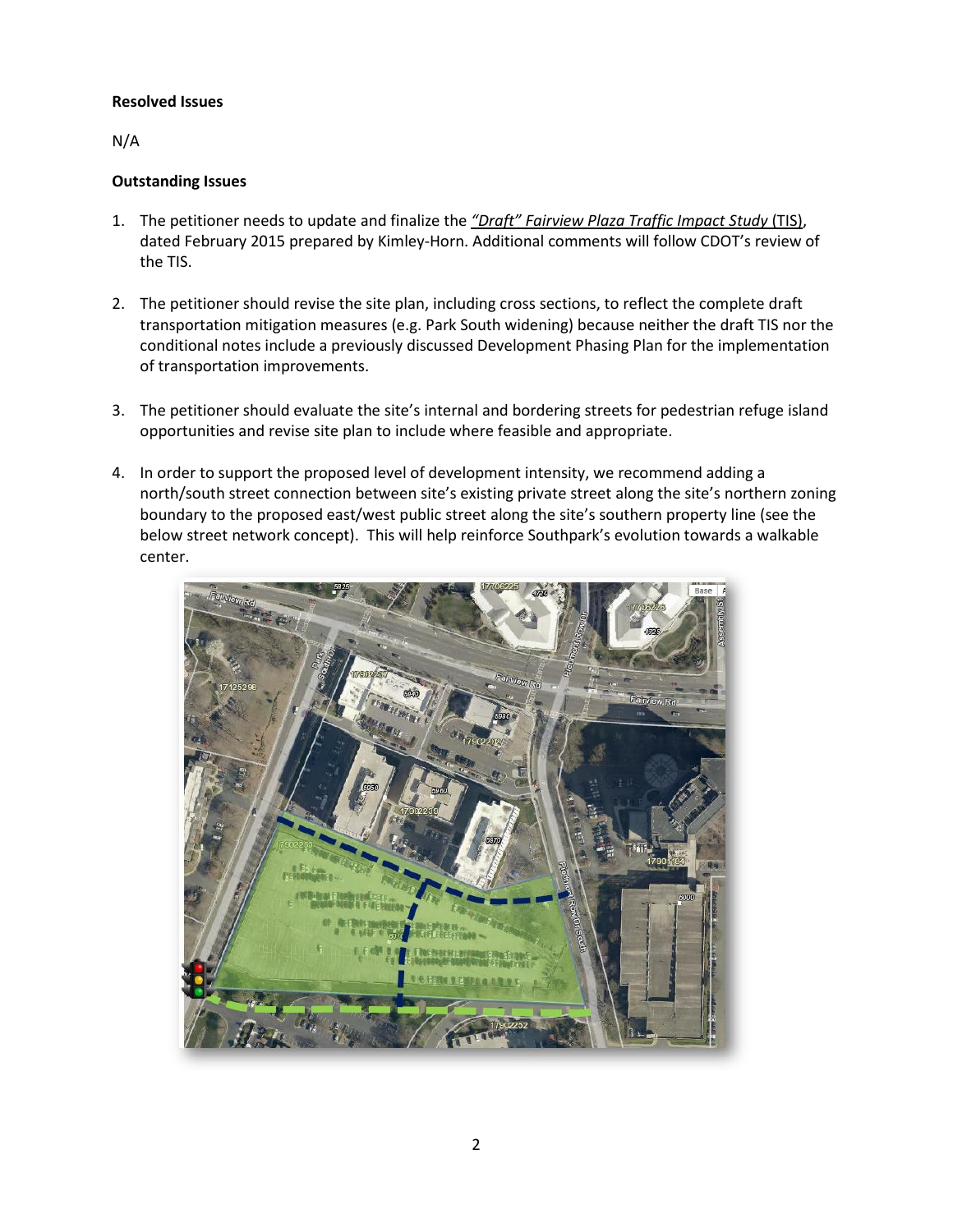### **Resolved Issues**

N/A

## **Outstanding Issues**

- 1. The petitioner needs to update and finalize the *"Draft" Fairview Plaza Traffic Impact Study* (TIS), dated February 2015 prepared by Kimley-Horn. Additional comments will follow CDOT's review of the TIS.
- 2. The petitioner should revise the site plan, including cross sections, to reflect the complete draft transportation mitigation measures (e.g. Park South widening) because neither the draft TIS nor the conditional notes include a previously discussed Development Phasing Plan for the implementation of transportation improvements.
- 3. The petitioner should evaluate the site's internal and bordering streets for pedestrian refuge island opportunities and revise site plan to include where feasible and appropriate.
- 4. In order to support the proposed level of development intensity, we recommend adding a north/south street connection between site's existing private street along the site's northern zoning boundary to the proposed east/west public street along the site's southern property line (see the below street network concept). This will help reinforce Southpark's evolution towards a walkable center.

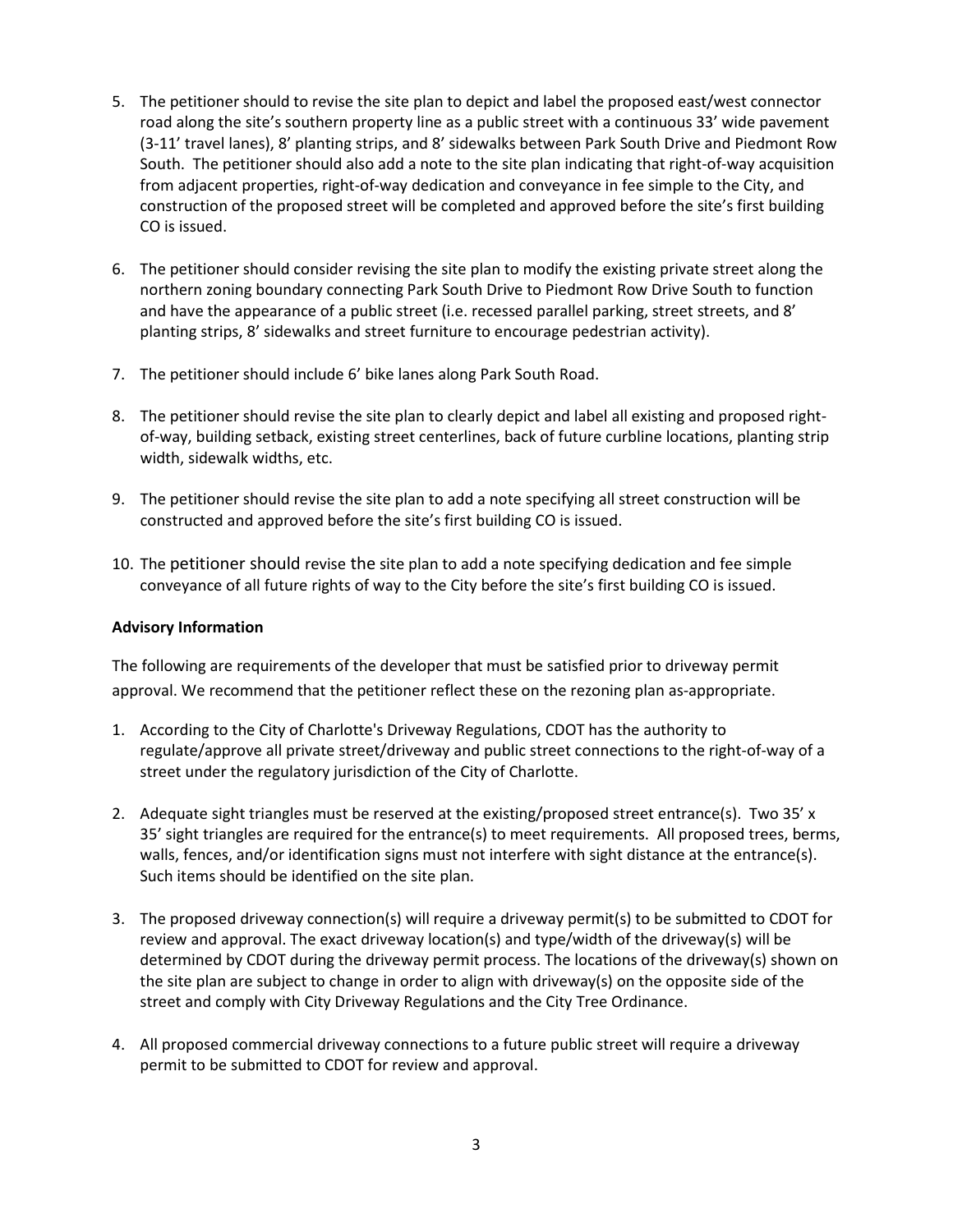- 5. The petitioner should to revise the site plan to depict and label the proposed east/west connector road along the site's southern property line as a public street with a continuous 33' wide pavement (3-11' travel lanes), 8' planting strips, and 8' sidewalks between Park South Drive and Piedmont Row South. The petitioner should also add a note to the site plan indicating that right-of-way acquisition from adjacent properties, right-of-way dedication and conveyance in fee simple to the City, and construction of the proposed street will be completed and approved before the site's first building CO is issued.
- 6. The petitioner should consider revising the site plan to modify the existing private street along the northern zoning boundary connecting Park South Drive to Piedmont Row Drive South to function and have the appearance of a public street (i.e. recessed parallel parking, street streets, and 8' planting strips, 8' sidewalks and street furniture to encourage pedestrian activity).
- 7. The petitioner should include 6' bike lanes along Park South Road.
- 8. The petitioner should revise the site plan to clearly depict and label all existing and proposed rightof-way, building setback, existing street centerlines, back of future curbline locations, planting strip width, sidewalk widths, etc.
- 9. The petitioner should revise the site plan to add a note specifying all street construction will be constructed and approved before the site's first building CO is issued.
- 10. The petitioner should revise the site plan to add a note specifying dedication and fee simple conveyance of all future rights of way to the City before the site's first building CO is issued.

### **Advisory Information**

The following are requirements of the developer that must be satisfied prior to driveway permit approval. We recommend that the petitioner reflect these on the rezoning plan as-appropriate.

- 1. According to the City of Charlotte's Driveway Regulations, CDOT has the authority to regulate/approve all private street/driveway and public street connections to the right-of-way of a street under the regulatory jurisdiction of the City of Charlotte.
- 2. Adequate sight triangles must be reserved at the existing/proposed street entrance(s). Two 35' x 35' sight triangles are required for the entrance(s) to meet requirements. All proposed trees, berms, walls, fences, and/or identification signs must not interfere with sight distance at the entrance(s). Such items should be identified on the site plan.
- 3. The proposed driveway connection(s) will require a driveway permit(s) to be submitted to CDOT for review and approval. The exact driveway location(s) and type/width of the driveway(s) will be determined by CDOT during the driveway permit process. The locations of the driveway(s) shown on the site plan are subject to change in order to align with driveway(s) on the opposite side of the street and comply with City Driveway Regulations and the City Tree Ordinance.
- 4. All proposed commercial driveway connections to a future public street will require a driveway permit to be submitted to CDOT for review and approval.